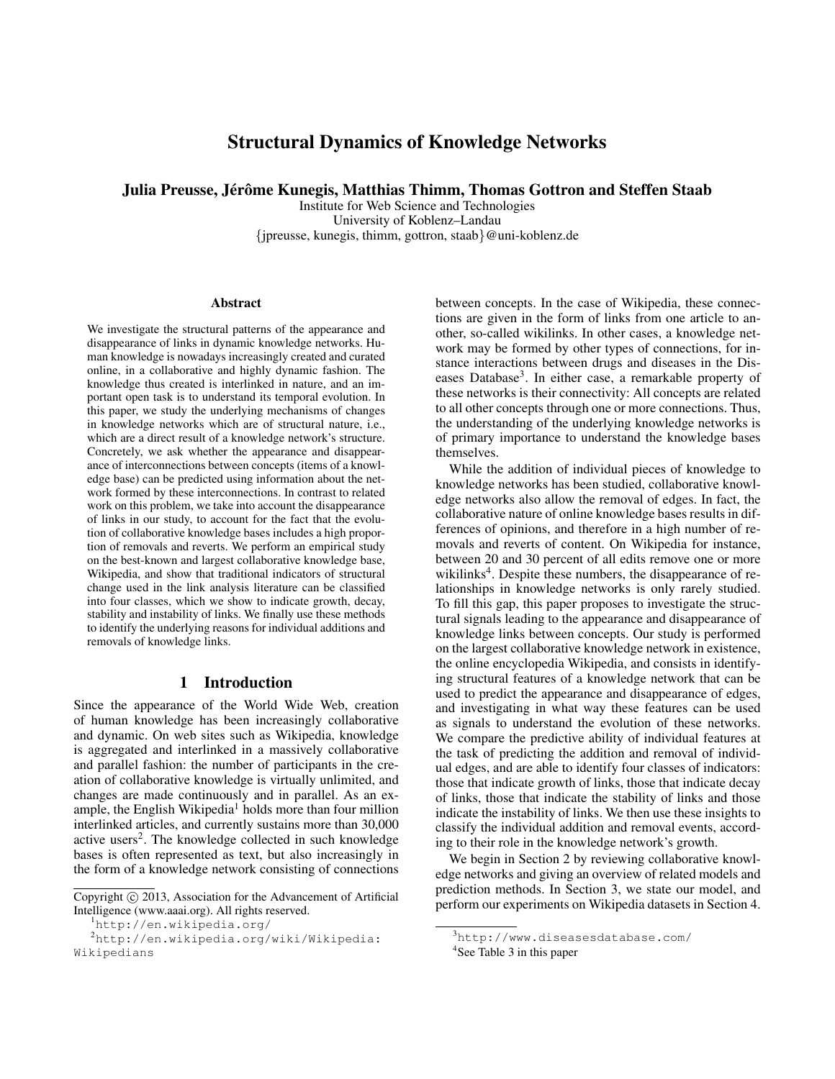# Structural Dynamics of Knowledge Networks

Julia Preusse, Jérôme Kunegis, Matthias Thimm, Thomas Gottron and Steffen Staab

Institute for Web Science and Technologies University of Koblenz–Landau {jpreusse, kunegis, thimm, gottron, staab}@uni-koblenz.de

#### Abstract

We investigate the structural patterns of the appearance and disappearance of links in dynamic knowledge networks. Human knowledge is nowadays increasingly created and curated online, in a collaborative and highly dynamic fashion. The knowledge thus created is interlinked in nature, and an important open task is to understand its temporal evolution. In this paper, we study the underlying mechanisms of changes in knowledge networks which are of structural nature, i.e., which are a direct result of a knowledge network's structure. Concretely, we ask whether the appearance and disappearance of interconnections between concepts (items of a knowledge base) can be predicted using information about the network formed by these interconnections. In contrast to related work on this problem, we take into account the disappearance of links in our study, to account for the fact that the evolution of collaborative knowledge bases includes a high proportion of removals and reverts. We perform an empirical study on the best-known and largest collaborative knowledge base, Wikipedia, and show that traditional indicators of structural change used in the link analysis literature can be classified into four classes, which we show to indicate growth, decay, stability and instability of links. We finally use these methods to identify the underlying reasons for individual additions and removals of knowledge links.

## 1 Introduction

Since the appearance of the World Wide Web, creation of human knowledge has been increasingly collaborative and dynamic. On web sites such as Wikipedia, knowledge is aggregated and interlinked in a massively collaborative and parallel fashion: the number of participants in the creation of collaborative knowledge is virtually unlimited, and changes are made continuously and in parallel. As an example, the English Wikipedia<sup>1</sup> holds more than four million interlinked articles, and currently sustains more than 30,000 active users<sup>2</sup>. The knowledge collected in such knowledge bases is often represented as text, but also increasingly in the form of a knowledge network consisting of connections

```
1http://en.wikipedia.org/
```
between concepts. In the case of Wikipedia, these connections are given in the form of links from one article to another, so-called wikilinks. In other cases, a knowledge network may be formed by other types of connections, for instance interactions between drugs and diseases in the Diseases Database<sup>3</sup>. In either case, a remarkable property of these networks is their connectivity: All concepts are related to all other concepts through one or more connections. Thus, the understanding of the underlying knowledge networks is of primary importance to understand the knowledge bases themselves.

While the addition of individual pieces of knowledge to knowledge networks has been studied, collaborative knowledge networks also allow the removal of edges. In fact, the collaborative nature of online knowledge bases results in differences of opinions, and therefore in a high number of removals and reverts of content. On Wikipedia for instance, between 20 and 30 percent of all edits remove one or more wikilinks<sup>4</sup>. Despite these numbers, the disappearance of relationships in knowledge networks is only rarely studied. To fill this gap, this paper proposes to investigate the structural signals leading to the appearance and disappearance of knowledge links between concepts. Our study is performed on the largest collaborative knowledge network in existence, the online encyclopedia Wikipedia, and consists in identifying structural features of a knowledge network that can be used to predict the appearance and disappearance of edges, and investigating in what way these features can be used as signals to understand the evolution of these networks. We compare the predictive ability of individual features at the task of predicting the addition and removal of individual edges, and are able to identify four classes of indicators: those that indicate growth of links, those that indicate decay of links, those that indicate the stability of links and those indicate the instability of links. We then use these insights to classify the individual addition and removal events, according to their role in the knowledge network's growth.

We begin in Section 2 by reviewing collaborative knowledge networks and giving an overview of related models and prediction methods. In Section 3, we state our model, and perform our experiments on Wikipedia datasets in Section 4.

Copyright (c) 2013, Association for the Advancement of Artificial Intelligence (www.aaai.org). All rights reserved.

<sup>2</sup>http://en.wikipedia.org/wiki/Wikipedia: Wikipedians

<sup>3</sup>http://www.diseasesdatabase.com/

<sup>&</sup>lt;sup>4</sup>See Table 3 in this paper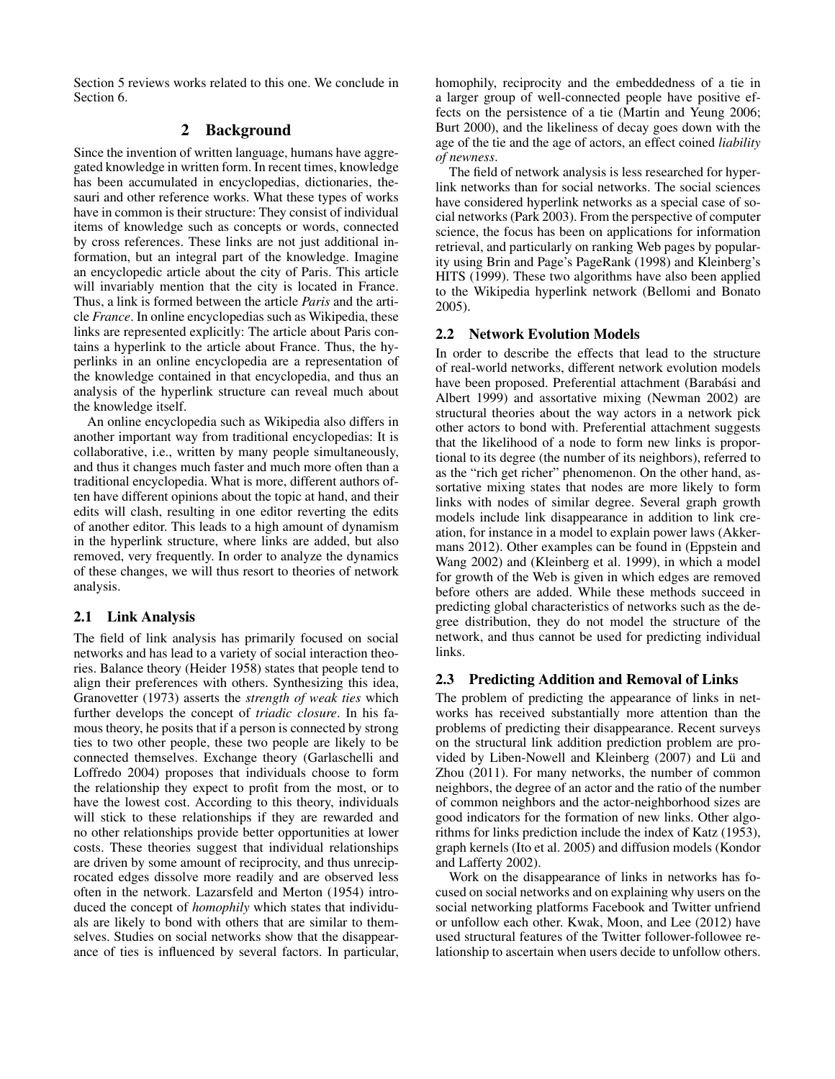Section 5 reviews works related to this one. We conclude in Section 6.

## 2 Background

Since the invention of written language, humans have aggregated knowledge in written form. In recent times, knowledge has been accumulated in encyclopedias, dictionaries, thesauri and other reference works. What these types of works have in common is their structure: They consist of individual items of knowledge such as concepts or words, connected by cross references. These links are not just additional information, but an integral part of the knowledge. Imagine an encyclopedic article about the city of Paris. This article will invariably mention that the city is located in France. Thus, a link is formed between the article *Paris* and the article *France*. In online encyclopedias such as Wikipedia, these links are represented explicitly: The article about Paris contains a hyperlink to the article about France. Thus, the hyperlinks in an online encyclopedia are a representation of the knowledge contained in that encyclopedia, and thus an analysis of the hyperlink structure can reveal much about the knowledge itself.

An online encyclopedia such as Wikipedia also differs in another important way from traditional encyclopedias: It is collaborative, i.e., written by many people simultaneously, and thus it changes much faster and much more often than a traditional encyclopedia. What is more, different authors often have different opinions about the topic at hand, and their edits will clash, resulting in one editor reverting the edits of another editor. This leads to a high amount of dynamism in the hyperlink structure, where links are added, but also removed, very frequently. In order to analyze the dynamics of these changes, we will thus resort to theories of network analysis.

## 2.1 Link Analysis

The field of link analysis has primarily focused on social networks and has lead to a variety of social interaction theories. Balance theory (Heider 1958) states that people tend to align their preferences with others. Synthesizing this idea, Granovetter (1973) asserts the *strength of weak ties* which further develops the concept of *triadic closure*. In his famous theory, he posits that if a person is connected by strong ties to two other people, these two people are likely to be connected themselves. Exchange theory (Garlaschelli and Loffredo 2004) proposes that individuals choose to form the relationship they expect to profit from the most, or to have the lowest cost. According to this theory, individuals will stick to these relationships if they are rewarded and no other relationships provide better opportunities at lower costs. These theories suggest that individual relationships are driven by some amount of reciprocity, and thus unreciprocated edges dissolve more readily and are observed less often in the network. Lazarsfeld and Merton (1954) introduced the concept of *homophily* which states that individuals are likely to bond with others that are similar to themselves. Studies on social networks show that the disappearance of ties is influenced by several factors. In particular,

homophily, reciprocity and the embeddedness of a tie in a larger group of well-connected people have positive effects on the persistence of a tie (Martin and Yeung 2006; Burt 2000), and the likeliness of decay goes down with the age of the tie and the age of actors, an effect coined *liability of newness*.

The field of network analysis is less researched for hyperlink networks than for social networks. The social sciences have considered hyperlink networks as a special case of social networks (Park 2003). From the perspective of computer science, the focus has been on applications for information retrieval, and particularly on ranking Web pages by popularity using Brin and Page's PageRank (1998) and Kleinberg's HITS (1999). These two algorithms have also been applied to the Wikipedia hyperlink network (Bellomi and Bonato 2005).

## 2.2 Network Evolution Models

In order to describe the effects that lead to the structure of real-world networks, different network evolution models have been proposed. Preferential attachment (Barabási and Albert 1999) and assortative mixing (Newman 2002) are structural theories about the way actors in a network pick other actors to bond with. Preferential attachment suggests that the likelihood of a node to form new links is proportional to its degree (the number of its neighbors), referred to as the "rich get richer" phenomenon. On the other hand, assortative mixing states that nodes are more likely to form links with nodes of similar degree. Several graph growth models include link disappearance in addition to link creation, for instance in a model to explain power laws (Akkermans 2012). Other examples can be found in (Eppstein and Wang 2002) and (Kleinberg et al. 1999), in which a model for growth of the Web is given in which edges are removed before others are added. While these methods succeed in predicting global characteristics of networks such as the degree distribution, they do not model the structure of the network, and thus cannot be used for predicting individual links.

## 2.3 Predicting Addition and Removal of Links

The problem of predicting the appearance of links in networks has received substantially more attention than the problems of predicting their disappearance. Recent surveys on the structural link addition prediction problem are provided by Liben-Nowell and Kleinberg (2007) and Lü and Zhou (2011). For many networks, the number of common neighbors, the degree of an actor and the ratio of the number of common neighbors and the actor-neighborhood sizes are good indicators for the formation of new links. Other algorithms for links prediction include the index of Katz (1953), graph kernels (Ito et al. 2005) and diffusion models (Kondor and Lafferty 2002).

Work on the disappearance of links in networks has focused on social networks and on explaining why users on the social networking platforms Facebook and Twitter unfriend or unfollow each other. Kwak, Moon, and Lee (2012) have used structural features of the Twitter follower-followee relationship to ascertain when users decide to unfollow others.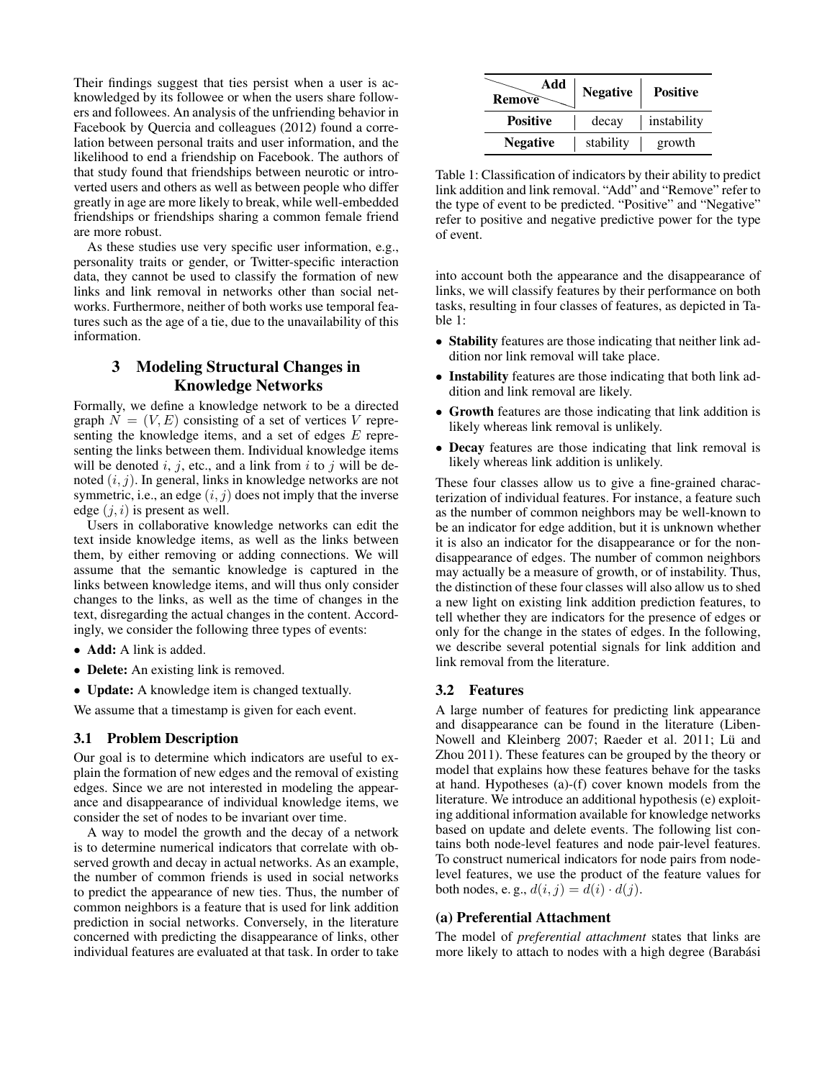Their findings suggest that ties persist when a user is acknowledged by its followee or when the users share followers and followees. An analysis of the unfriending behavior in Facebook by Quercia and colleagues (2012) found a correlation between personal traits and user information, and the likelihood to end a friendship on Facebook. The authors of that study found that friendships between neurotic or introverted users and others as well as between people who differ greatly in age are more likely to break, while well-embedded friendships or friendships sharing a common female friend are more robust.

As these studies use very specific user information, e.g., personality traits or gender, or Twitter-specific interaction data, they cannot be used to classify the formation of new links and link removal in networks other than social networks. Furthermore, neither of both works use temporal features such as the age of a tie, due to the unavailability of this information.

## 3 Modeling Structural Changes in Knowledge Networks

Formally, we define a knowledge network to be a directed graph  $N = (V, E)$  consisting of a set of vertices V representing the knowledge items, and a set of edges  $E$  representing the links between them. Individual knowledge items will be denoted i, j, etc., and a link from i to j will be denoted  $(i, j)$ . In general, links in knowledge networks are not symmetric, i.e., an edge  $(i, j)$  does not imply that the inverse edge  $(j, i)$  is present as well.

Users in collaborative knowledge networks can edit the text inside knowledge items, as well as the links between them, by either removing or adding connections. We will assume that the semantic knowledge is captured in the links between knowledge items, and will thus only consider changes to the links, as well as the time of changes in the text, disregarding the actual changes in the content. Accordingly, we consider the following three types of events:

- Add: A link is added.
- Delete: An existing link is removed.
- **Update:** A knowledge item is changed textually.

We assume that a timestamp is given for each event.

## 3.1 Problem Description

Our goal is to determine which indicators are useful to explain the formation of new edges and the removal of existing edges. Since we are not interested in modeling the appearance and disappearance of individual knowledge items, we consider the set of nodes to be invariant over time.

A way to model the growth and the decay of a network is to determine numerical indicators that correlate with observed growth and decay in actual networks. As an example, the number of common friends is used in social networks to predict the appearance of new ties. Thus, the number of common neighbors is a feature that is used for link addition prediction in social networks. Conversely, in the literature concerned with predicting the disappearance of links, other individual features are evaluated at that task. In order to take

| Add<br>Remove   | <b>Negative</b> | <b>Positive</b> |
|-----------------|-----------------|-----------------|
| <b>Positive</b> | decay           | instability     |
| <b>Negative</b> | stability       | growth          |

Table 1: Classification of indicators by their ability to predict link addition and link removal. "Add" and "Remove" refer to the type of event to be predicted. "Positive" and "Negative" refer to positive and negative predictive power for the type of event.

into account both the appearance and the disappearance of links, we will classify features by their performance on both tasks, resulting in four classes of features, as depicted in Table 1:

- **Stability** features are those indicating that neither link addition nor link removal will take place.
- Instability features are those indicating that both link addition and link removal are likely.
- Growth features are those indicating that link addition is likely whereas link removal is unlikely.
- Decay features are those indicating that link removal is likely whereas link addition is unlikely.

These four classes allow us to give a fine-grained characterization of individual features. For instance, a feature such as the number of common neighbors may be well-known to be an indicator for edge addition, but it is unknown whether it is also an indicator for the disappearance or for the nondisappearance of edges. The number of common neighbors may actually be a measure of growth, or of instability. Thus, the distinction of these four classes will also allow us to shed a new light on existing link addition prediction features, to tell whether they are indicators for the presence of edges or only for the change in the states of edges. In the following, we describe several potential signals for link addition and link removal from the literature.

#### 3.2 Features

A large number of features for predicting link appearance and disappearance can be found in the literature (Liben-Nowell and Kleinberg 2007; Raeder et al. 2011; Lü and Zhou 2011). These features can be grouped by the theory or model that explains how these features behave for the tasks at hand. Hypotheses (a)-(f) cover known models from the literature. We introduce an additional hypothesis (e) exploiting additional information available for knowledge networks based on update and delete events. The following list contains both node-level features and node pair-level features. To construct numerical indicators for node pairs from nodelevel features, we use the product of the feature values for both nodes, e.g.,  $d(i, j) = d(i) \cdot d(j)$ .

## (a) Preferential Attachment

The model of *preferential attachment* states that links are more likely to attach to nodes with a high degree (Barabási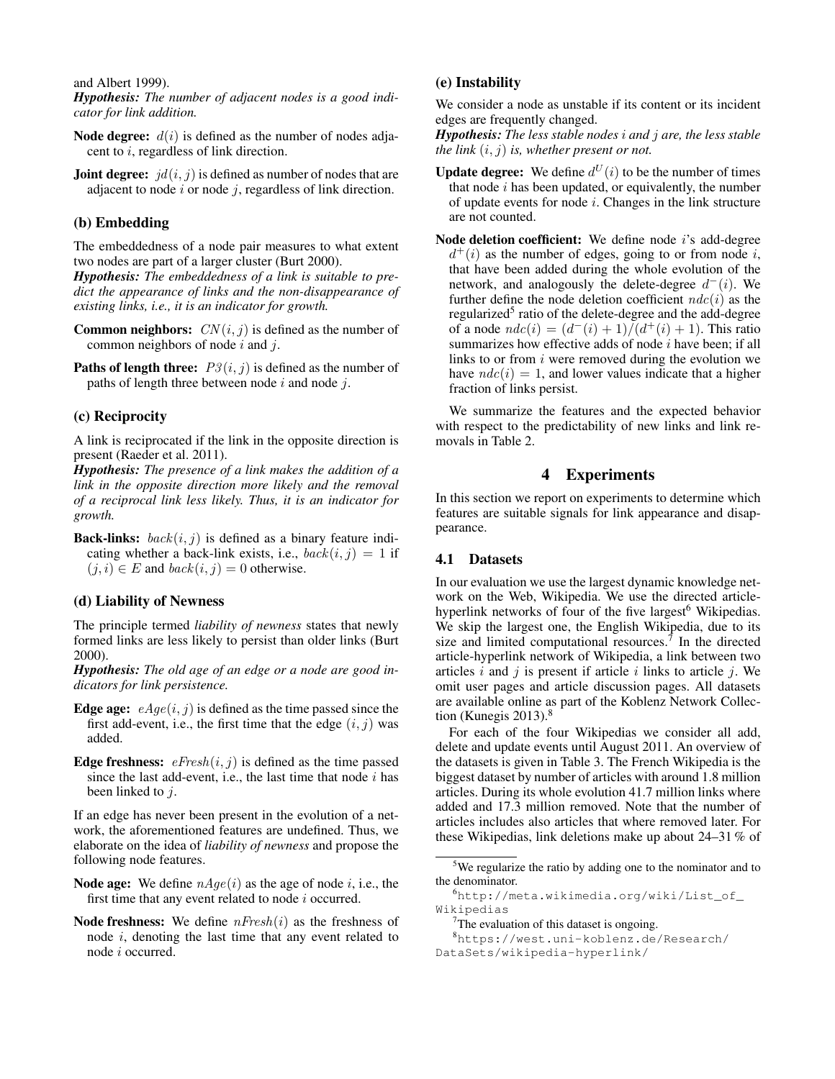and Albert 1999).

*Hypothesis: The number of adjacent nodes is a good indicator for link addition.*

- **Node degree:**  $d(i)$  is defined as the number of nodes adjacent to i, regardless of link direction.
- **Joint degree:**  $id(i, j)$  is defined as number of nodes that are adjacent to node  $i$  or node  $j$ , regardless of link direction.

### (b) Embedding

The embeddedness of a node pair measures to what extent two nodes are part of a larger cluster (Burt 2000).

*Hypothesis: The embeddedness of a link is suitable to predict the appearance of links and the non-disappearance of existing links, i.e., it is an indicator for growth.*

**Common neighbors:**  $CN(i, j)$  is defined as the number of common neighbors of node  $i$  and  $j$ .

**Paths of length three:**  $P3(i, j)$  is defined as the number of paths of length three between node  $i$  and node  $j$ .

## (c) Reciprocity

A link is reciprocated if the link in the opposite direction is present (Raeder et al. 2011).

*Hypothesis: The presence of a link makes the addition of a link in the opposite direction more likely and the removal of a reciprocal link less likely. Thus, it is an indicator for growth.*

**Back-links:**  $back(i, j)$  is defined as a binary feature indicating whether a back-link exists, i.e.,  $back(i, j) = 1$  if  $(j, i) \in E$  and  $back(i, j) = 0$  otherwise.

## (d) Liability of Newness

The principle termed *liability of newness* states that newly formed links are less likely to persist than older links (Burt 2000).

*Hypothesis: The old age of an edge or a node are good indicators for link persistence.*

- Edge age:  $eAge(i, j)$  is defined as the time passed since the first add-event, i.e., the first time that the edge  $(i, j)$  was added.
- **Edge freshness:**  $e$ *Fresh* $(i, j)$  is defined as the time passed since the last add-event, i.e., the last time that node  $i$  has been linked to *i*.

If an edge has never been present in the evolution of a network, the aforementioned features are undefined. Thus, we elaborate on the idea of *liability of newness* and propose the following node features.

- **Node age:** We define  $nAge(i)$  as the age of node i, i.e., the first time that any event related to node *i* occurred.
- **Node freshness:** We define  $n$ *Fresh* $(i)$  as the freshness of node i, denoting the last time that any event related to node i occurred.

## (e) Instability

We consider a node as unstable if its content or its incident edges are frequently changed.

*Hypothesis: The less stable nodes* i *and* j *are, the less stable the link*  $(i, j)$  *is, whether present or not.* 

- **Update degree:** We define  $d^U(i)$  to be the number of times that node  $i$  has been updated, or equivalently, the number of update events for node  $i$ . Changes in the link structure are not counted.
- Node deletion coefficient: We define node *i*'s add-degree  $d^+(i)$  as the number of edges, going to or from node i, that have been added during the whole evolution of the network, and analogously the delete-degree  $d^-(i)$ . We further define the node deletion coefficient  $ndc(i)$  as the regularized<sup>5</sup> ratio of the delete-degree and the add-degree of a node  $n d c(i) = (d^-(i) + 1) \bar{d} (d^+(i) + 1)$ . This ratio summarizes how effective adds of node  $i$  have been; if all links to or from  $i$  were removed during the evolution we have  $ndc(i) = 1$ , and lower values indicate that a higher fraction of links persist.

We summarize the features and the expected behavior with respect to the predictability of new links and link removals in Table 2.

## 4 Experiments

In this section we report on experiments to determine which features are suitable signals for link appearance and disappearance.

#### 4.1 Datasets

In our evaluation we use the largest dynamic knowledge network on the Web, Wikipedia. We use the directed articlehyperlink networks of four of the five largest<sup>6</sup> Wikipedias. We skip the largest one, the English Wikipedia, due to its size and limited computational resources.<sup> $7$ </sup> In the directed article-hyperlink network of Wikipedia, a link between two articles i and j is present if article i links to article j. We omit user pages and article discussion pages. All datasets are available online as part of the Koblenz Network Collection (Kunegis  $2013$ ).<sup>8</sup>

For each of the four Wikipedias we consider all add, delete and update events until August 2011. An overview of the datasets is given in Table 3. The French Wikipedia is the biggest dataset by number of articles with around 1.8 million articles. During its whole evolution 41.7 million links where added and 17.3 million removed. Note that the number of articles includes also articles that where removed later. For these Wikipedias, link deletions make up about 24–31 % of

<sup>&</sup>lt;sup>5</sup>We regularize the ratio by adding one to the nominator and to the denominator.

<sup>6</sup>http://meta.wikimedia.org/wiki/List\_of\_ Wikipedias

 $7$ The evaluation of this dataset is ongoing.

<sup>8</sup>https://west.uni-koblenz.de/Research/ DataSets/wikipedia-hyperlink/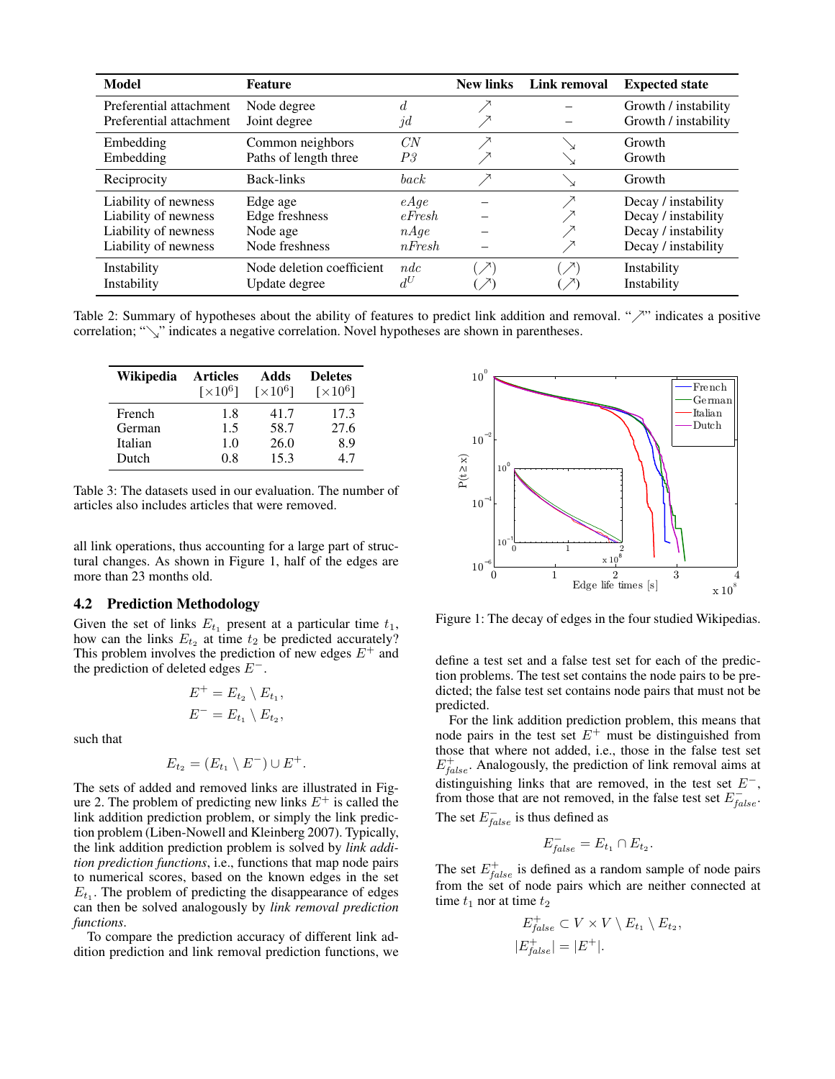| Model                   | <b>Feature</b>            |                  | <b>New links</b>             | Link removal     | <b>Expected state</b> |
|-------------------------|---------------------------|------------------|------------------------------|------------------|-----------------------|
| Preferential attachment | Node degree               | d.               |                              |                  | Growth / instability  |
| Preferential attachment | Joint degree              | $\mathcal{U}$    |                              |                  | Growth / instability  |
| Embedding               | Common neighbors          | CN               |                              |                  | Growth                |
| Embedding               | Paths of length three     | P3               |                              |                  | Growth                |
| Reciprocity             | Back-links                | back             |                              |                  | Growth                |
| Liability of newness    | Edge age                  | eAge             |                              |                  | Decay / instability   |
| Liability of newness    | Edge freshness            | $e$ <i>Fresh</i> |                              |                  | Decay / instability   |
| Liability of newness    | Node age                  | nAge             |                              |                  | Decay / instability   |
| Liability of newness    | Node freshness            | $n$ <i>Fresh</i> |                              |                  | Decay / instability   |
| Instability             | Node deletion coefficient | ndc              | $\left( \frac{1}{2} \right)$ | $\left( \right)$ | Instability           |
| Instability             | Update degree             | $d^U$            |                              |                  | Instability           |

Table 2: Summary of hypotheses about the ability of features to predict link addition and removal. " $\nearrow$ " indicates a positive correlation; " $\checkmark$ " indicates a negative correlation. Novel hypotheses are shown in parentheses.

| Wikipedia | <b>Articles</b>             | Adds                        | <b>Deletes</b>              |
|-----------|-----------------------------|-----------------------------|-----------------------------|
|           | $\lceil \times 10^6 \rceil$ | $\lceil \times 10^6 \rceil$ | $\lceil \times 10^6 \rceil$ |
| French    | 1.8                         | 41.7                        | 17.3                        |
| German    | 1.5                         | 58.7                        | 27.6                        |
| Italian   | 1.0                         | 26.0                        | 8.9                         |
| Dutch     | 08                          | 15.3                        | 47                          |

Table 3: The datasets used in our evaluation. The number of articles also includes articles that were removed.

all link operations, thus accounting for a large part of structural changes. As shown in Figure 1, half of the edges are more than 23 months old.

### 4.2 Prediction Methodology

Given the set of links  $E_{t_1}$  present at a particular time  $t_1$ , how can the links  $E_{t_2}$  at time  $t_2$  be predicted accurately? This problem involves the prediction of new edges  $E^+$  and the prediction of deleted edges E<sup>−</sup>.

$$
E^+ = E_{t_2} \setminus E_{t_1},
$$
  

$$
E^- = E_{t_1} \setminus E_{t_2},
$$

such that

$$
E_{t_2} = (E_{t_1} \setminus E^-) \cup E^+.
$$

The sets of added and removed links are illustrated in Figure 2. The problem of predicting new links  $E^+$  is called the link addition prediction problem, or simply the link prediction problem (Liben-Nowell and Kleinberg 2007). Typically, the link addition prediction problem is solved by *link addition prediction functions*, i.e., functions that map node pairs to numerical scores, based on the known edges in the set  $E_{t_1}$ . The problem of predicting the disappearance of edges can then be solved analogously by *link removal prediction functions*.

To compare the prediction accuracy of different link addition prediction and link removal prediction functions, we



Figure 1: The decay of edges in the four studied Wikipedias.

define a test set and a false test set for each of the prediction problems. The test set contains the node pairs to be predicted; the false test set contains node pairs that must not be predicted.

For the link addition prediction problem, this means that node pairs in the test set  $E^+$  must be distinguished from those that where not added, i.e., those in the false test set  $E_{false}^{+}$ . Analogously, the prediction of link removal aims at distinguishing links that are removed, in the test set  $E^-$ , from those that are not removed, in the false test set  $E_{false}^-$ . The set  $E_{false}^-$  is thus defined as

$$
E_{\text{false}}^- = E_{t_1} \cap E_{t_2}.
$$

The set  $E_{false}^{+}$  is defined as a random sample of node pairs from the set of node pairs which are neither connected at time  $t_1$  nor at time  $t_2$ 

$$
E_{false}^{+} \subset V \times V \setminus E_{t_1} \setminus E_{t_2},
$$
  

$$
|E_{false}^{+}| = |E^{+}|.
$$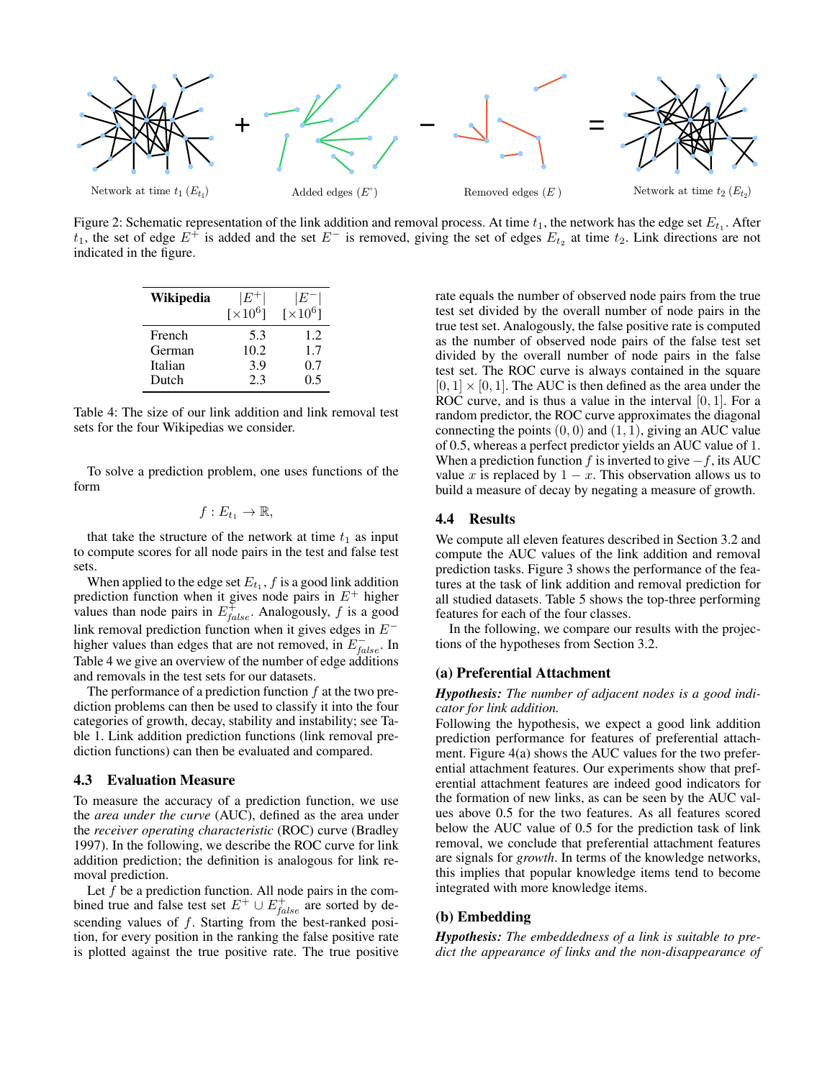

Figure 2: Schematic representation of the link addition and removal process. At time  $t_1$ , the network has the edge set  $E_{t_1}$ . After  $t_1$ , the set of edge  $E^+$  is added and the set  $E^-$  is removed, giving the set of edges  $E_{t_2}$  at time  $t_2$ . Link directions are not indicated in the figure.

| Wikipedia | $^{\rm t}E^{\rm +1}$       | ١E            |
|-----------|----------------------------|---------------|
|           | $\left[\times 10^6\right]$ | $\sqrt{10^6}$ |
| French    | 5.3                        | 1.2.          |
| German    | 10.2                       | 1.7           |
| Italian   | 3.9                        | 0.7           |
| Dutch     | 2.3                        | 0.5           |

Table 4: The size of our link addition and link removal test sets for the four Wikipedias we consider.

To solve a prediction problem, one uses functions of the form

$$
f: E_{t_1} \to \mathbb{R},
$$

that take the structure of the network at time  $t_1$  as input to compute scores for all node pairs in the test and false test sets.

When applied to the edge set  $E_{t_1}$ ,  $f$  is a good link addition prediction function when it gives node pairs in  $E^+$  higher values than node pairs in  $E_{false}^{\dagger}$ . Analogously, f is a good link removal prediction function when it gives edges in E<sup>−</sup> higher values than edges that are not removed, in  $E_{false}^-$ . In Table 4 we give an overview of the number of edge additions and removals in the test sets for our datasets.

The performance of a prediction function  $f$  at the two prediction problems can then be used to classify it into the four categories of growth, decay, stability and instability; see Table 1. Link addition prediction functions (link removal prediction functions) can then be evaluated and compared.

#### 4.3 Evaluation Measure

To measure the accuracy of a prediction function, we use the *area under the curve* (AUC), defined as the area under the *receiver operating characteristic* (ROC) curve (Bradley 1997). In the following, we describe the ROC curve for link addition prediction; the definition is analogous for link removal prediction.

Let  $f$  be a prediction function. All node pairs in the combined true and false test set  $E^+ \cup E^+_{false}$  are sorted by descending values of f. Starting from the best-ranked position, for every position in the ranking the false positive rate is plotted against the true positive rate. The true positive rate equals the number of observed node pairs from the true test set divided by the overall number of node pairs in the true test set. Analogously, the false positive rate is computed as the number of observed node pairs of the false test set divided by the overall number of node pairs in the false test set. The ROC curve is always contained in the square  $[0, 1] \times [0, 1]$ . The AUC is then defined as the area under the ROC curve, and is thus a value in the interval  $[0, 1]$ . For a random predictor, the ROC curve approximates the diagonal connecting the points  $(0, 0)$  and  $(1, 1)$ , giving an AUC value of 0.5, whereas a perfect predictor yields an AUC value of 1. When a prediction function f is inverted to give  $-f$ , its AUC value x is replaced by  $1 - x$ . This observation allows us to build a measure of decay by negating a measure of growth.

#### 4.4 Results

We compute all eleven features described in Section 3.2 and compute the AUC values of the link addition and removal prediction tasks. Figure 3 shows the performance of the features at the task of link addition and removal prediction for all studied datasets. Table 5 shows the top-three performing features for each of the four classes.

In the following, we compare our results with the projections of the hypotheses from Section 3.2.

## (a) Preferential Attachment

#### *Hypothesis: The number of adjacent nodes is a good indicator for link addition.*

Following the hypothesis, we expect a good link addition prediction performance for features of preferential attachment. Figure 4(a) shows the AUC values for the two preferential attachment features. Our experiments show that preferential attachment features are indeed good indicators for the formation of new links, as can be seen by the AUC values above 0.5 for the two features. As all features scored below the AUC value of 0.5 for the prediction task of link removal, we conclude that preferential attachment features are signals for *growth*. In terms of the knowledge networks, this implies that popular knowledge items tend to become integrated with more knowledge items.

## (b) Embedding

*Hypothesis: The embeddedness of a link is suitable to predict the appearance of links and the non-disappearance of*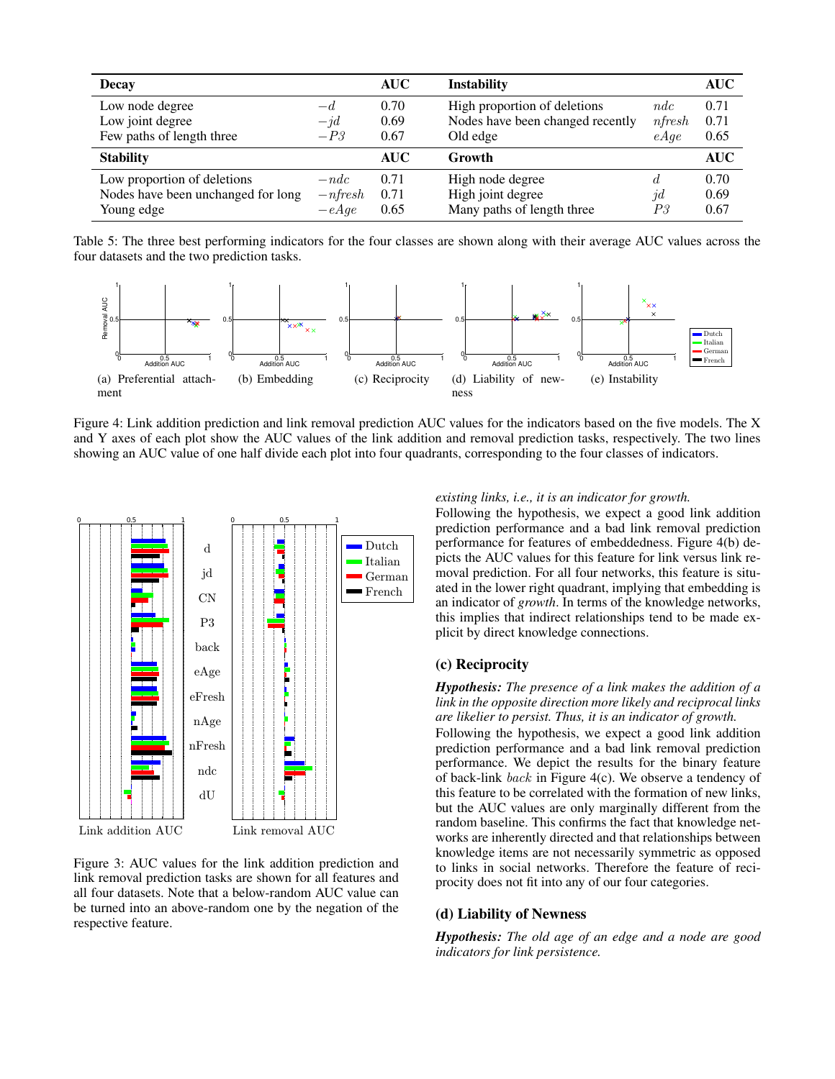| <b>Decay</b>                       |            | <b>AUC</b> | <b>Instability</b>               |          | AUC        |
|------------------------------------|------------|------------|----------------------------------|----------|------------|
| Low node degree                    | $-d$       | 0.70       | High proportion of deletions     | ndc      | 0.71       |
| Low joint degree                   | $-jd$      | 0.69       | Nodes have been changed recently | nfresh   | 0.71       |
| Few paths of length three          | $-P3$      | 0.67       | Old edge                         | eAge     | 0.65       |
| <b>Stability</b>                   |            | <b>AUC</b> | Growth                           |          | <b>AUC</b> |
| Low proportion of deletions        | $-ndc$     | 0.71       | High node degree                 | đ.       | 0.70       |
| Nodes have been unchanged for long | $-n$ fresh | 0.71       | High joint degree                | $\eta d$ | 0.69       |
| Young edge                         | $-eAqe$    | 0.65       | Many paths of length three       | PЗ       | 0.67       |

Table 5: The three best performing indicators for the four classes are shown along with their average AUC values across the four datasets and the two prediction tasks.



Figure 4: Link addition prediction and link removal prediction AUC values for the indicators based on the five models. The X and Y axes of each plot show the AUC values of the link addition and removal prediction tasks, respectively. The two lines showing an AUC value of one half divide each plot into four quadrants, corresponding to the four classes of indicators.



Figure 3: AUC values for the link addition prediction and link removal prediction tasks are shown for all features and all four datasets. Note that a below-random AUC value can be turned into an above-random one by the negation of the respective feature.

## *existing links, i.e., it is an indicator for growth.*

Following the hypothesis, we expect a good link addition prediction performance and a bad link removal prediction performance for features of embeddedness. Figure 4(b) depicts the AUC values for this feature for link versus link removal prediction. For all four networks, this feature is situated in the lower right quadrant, implying that embedding is an indicator of *growth*. In terms of the knowledge networks, this implies that indirect relationships tend to be made explicit by direct knowledge connections.

#### (c) Reciprocity

*Hypothesis: The presence of a link makes the addition of a link in the opposite direction more likely and reciprocal links are likelier to persist. Thus, it is an indicator of growth.*

Following the hypothesis, we expect a good link addition prediction performance and a bad link removal prediction performance. We depict the results for the binary feature of back-link back in Figure 4(c). We observe a tendency of this feature to be correlated with the formation of new links, but the AUC values are only marginally different from the random baseline. This confirms the fact that knowledge networks are inherently directed and that relationships between knowledge items are not necessarily symmetric as opposed to links in social networks. Therefore the feature of reciprocity does not fit into any of our four categories.

## (d) Liability of Newness

*Hypothesis: The old age of an edge and a node are good indicators for link persistence.*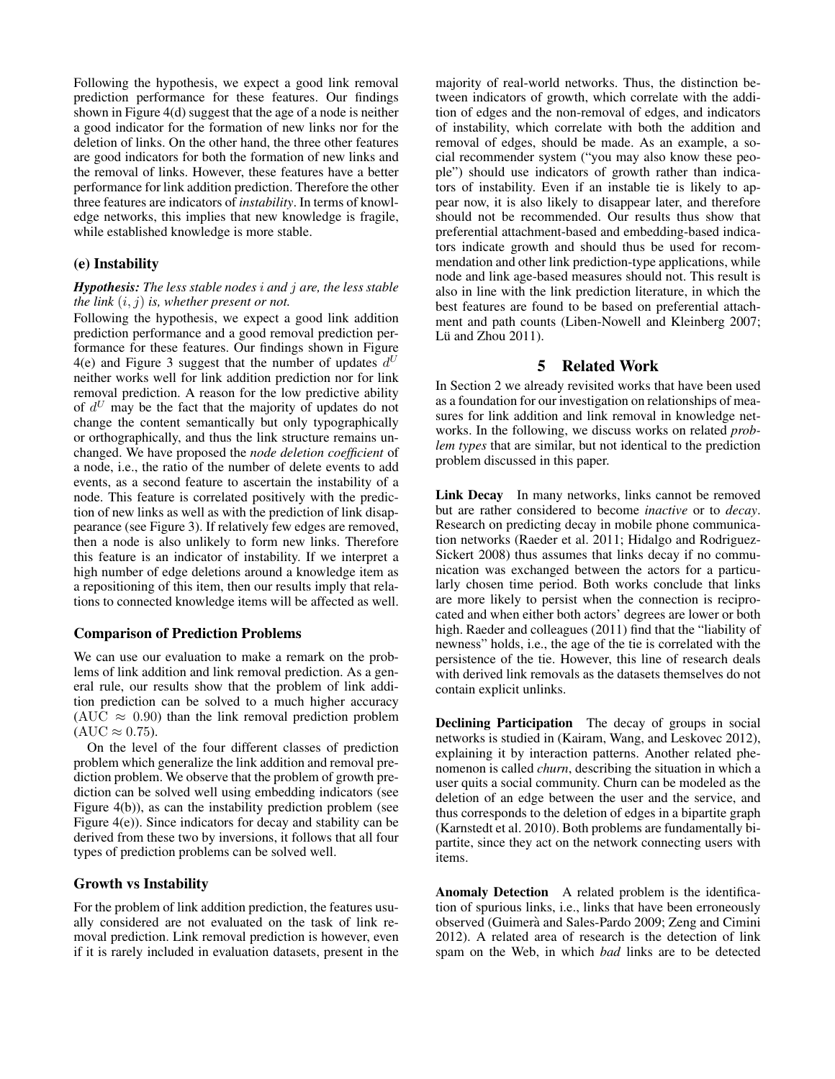Following the hypothesis, we expect a good link removal prediction performance for these features. Our findings shown in Figure 4(d) suggest that the age of a node is neither a good indicator for the formation of new links nor for the deletion of links. On the other hand, the three other features are good indicators for both the formation of new links and the removal of links. However, these features have a better performance for link addition prediction. Therefore the other three features are indicators of *instability*. In terms of knowledge networks, this implies that new knowledge is fragile, while established knowledge is more stable.

### (e) Instability

### *Hypothesis: The less stable nodes* i *and* j *are, the less stable the link* (i, j) *is, whether present or not.*

Following the hypothesis, we expect a good link addition prediction performance and a good removal prediction performance for these features. Our findings shown in Figure 4(e) and Figure 3 suggest that the number of updates  $d^U$ neither works well for link addition prediction nor for link removal prediction. A reason for the low predictive ability of  $d^U$  may be the fact that the majority of updates do not change the content semantically but only typographically or orthographically, and thus the link structure remains unchanged. We have proposed the *node deletion coefficient* of a node, i.e., the ratio of the number of delete events to add events, as a second feature to ascertain the instability of a node. This feature is correlated positively with the prediction of new links as well as with the prediction of link disappearance (see Figure 3). If relatively few edges are removed, then a node is also unlikely to form new links. Therefore this feature is an indicator of instability. If we interpret a high number of edge deletions around a knowledge item as a repositioning of this item, then our results imply that relations to connected knowledge items will be affected as well.

#### Comparison of Prediction Problems

We can use our evaluation to make a remark on the problems of link addition and link removal prediction. As a general rule, our results show that the problem of link addition prediction can be solved to a much higher accuracy (AUC  $\approx$  0.90) than the link removal prediction problem  $(AUC \approx 0.75)$ .

On the level of the four different classes of prediction problem which generalize the link addition and removal prediction problem. We observe that the problem of growth prediction can be solved well using embedding indicators (see Figure 4(b)), as can the instability prediction problem (see Figure 4(e)). Since indicators for decay and stability can be derived from these two by inversions, it follows that all four types of prediction problems can be solved well.

## Growth vs Instability

For the problem of link addition prediction, the features usually considered are not evaluated on the task of link removal prediction. Link removal prediction is however, even if it is rarely included in evaluation datasets, present in the majority of real-world networks. Thus, the distinction between indicators of growth, which correlate with the addition of edges and the non-removal of edges, and indicators of instability, which correlate with both the addition and removal of edges, should be made. As an example, a social recommender system ("you may also know these people") should use indicators of growth rather than indicators of instability. Even if an instable tie is likely to appear now, it is also likely to disappear later, and therefore should not be recommended. Our results thus show that preferential attachment-based and embedding-based indicators indicate growth and should thus be used for recommendation and other link prediction-type applications, while node and link age-based measures should not. This result is also in line with the link prediction literature, in which the best features are found to be based on preferential attachment and path counts (Liben-Nowell and Kleinberg 2007; Lü and Zhou 2011).

## 5 Related Work

In Section 2 we already revisited works that have been used as a foundation for our investigation on relationships of measures for link addition and link removal in knowledge networks. In the following, we discuss works on related *problem types* that are similar, but not identical to the prediction problem discussed in this paper.

Link Decay In many networks, links cannot be removed but are rather considered to become *inactive* or to *decay*. Research on predicting decay in mobile phone communication networks (Raeder et al. 2011; Hidalgo and Rodriguez-Sickert 2008) thus assumes that links decay if no communication was exchanged between the actors for a particularly chosen time period. Both works conclude that links are more likely to persist when the connection is reciprocated and when either both actors' degrees are lower or both high. Raeder and colleagues (2011) find that the "liability of newness" holds, i.e., the age of the tie is correlated with the persistence of the tie. However, this line of research deals with derived link removals as the datasets themselves do not contain explicit unlinks.

Declining Participation The decay of groups in social networks is studied in (Kairam, Wang, and Leskovec 2012), explaining it by interaction patterns. Another related phenomenon is called *churn*, describing the situation in which a user quits a social community. Churn can be modeled as the deletion of an edge between the user and the service, and thus corresponds to the deletion of edges in a bipartite graph (Karnstedt et al. 2010). Both problems are fundamentally bipartite, since they act on the network connecting users with items.

Anomaly Detection A related problem is the identification of spurious links, i.e., links that have been erroneously observed (Guimerà and Sales-Pardo 2009; Zeng and Cimini 2012). A related area of research is the detection of link spam on the Web, in which *bad* links are to be detected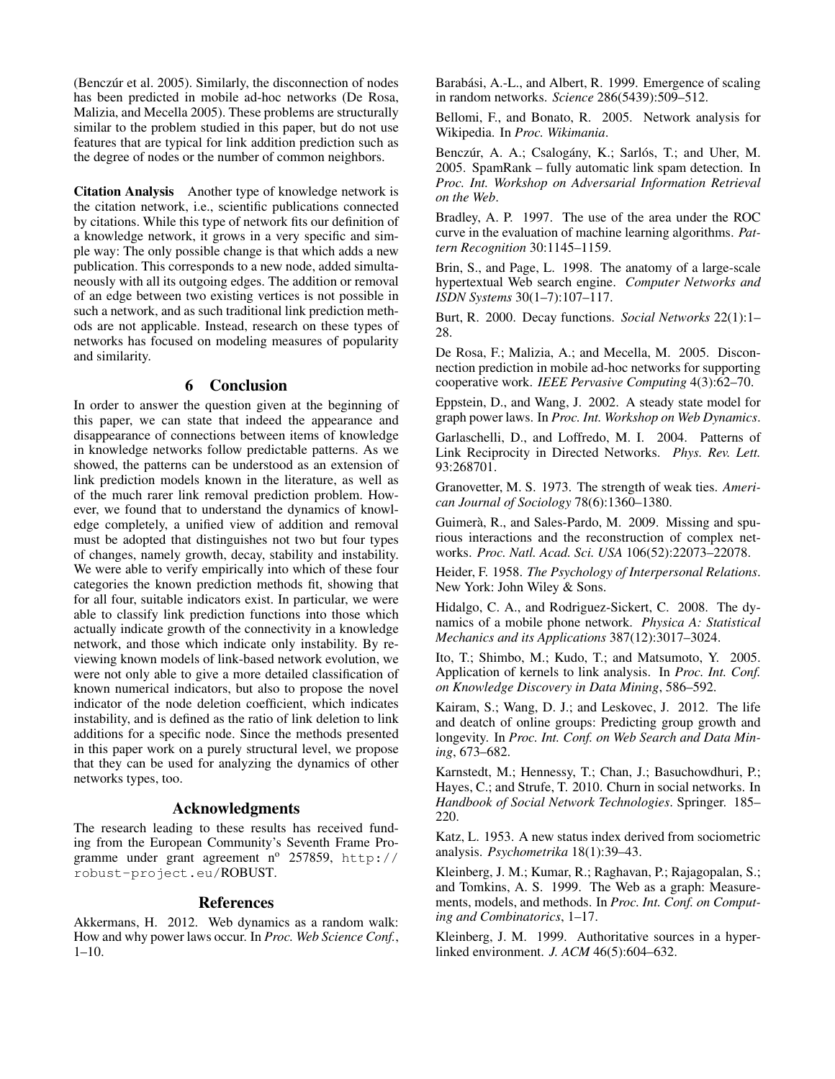$(Benczúr et al. 2005)$ . Similarly, the disconnection of nodes has been predicted in mobile ad-hoc networks (De Rosa, Malizia, and Mecella 2005). These problems are structurally similar to the problem studied in this paper, but do not use features that are typical for link addition prediction such as the degree of nodes or the number of common neighbors.

Citation Analysis Another type of knowledge network is the citation network, i.e., scientific publications connected by citations. While this type of network fits our definition of a knowledge network, it grows in a very specific and simple way: The only possible change is that which adds a new publication. This corresponds to a new node, added simultaneously with all its outgoing edges. The addition or removal of an edge between two existing vertices is not possible in such a network, and as such traditional link prediction methods are not applicable. Instead, research on these types of networks has focused on modeling measures of popularity and similarity.

## 6 Conclusion

In order to answer the question given at the beginning of this paper, we can state that indeed the appearance and disappearance of connections between items of knowledge in knowledge networks follow predictable patterns. As we showed, the patterns can be understood as an extension of link prediction models known in the literature, as well as of the much rarer link removal prediction problem. However, we found that to understand the dynamics of knowledge completely, a unified view of addition and removal must be adopted that distinguishes not two but four types of changes, namely growth, decay, stability and instability. We were able to verify empirically into which of these four categories the known prediction methods fit, showing that for all four, suitable indicators exist. In particular, we were able to classify link prediction functions into those which actually indicate growth of the connectivity in a knowledge network, and those which indicate only instability. By reviewing known models of link-based network evolution, we were not only able to give a more detailed classification of known numerical indicators, but also to propose the novel indicator of the node deletion coefficient, which indicates instability, and is defined as the ratio of link deletion to link additions for a specific node. Since the methods presented in this paper work on a purely structural level, we propose that they can be used for analyzing the dynamics of other networks types, too.

## Acknowledgments

The research leading to these results has received funding from the European Community's Seventh Frame Programme under grant agreement  $n^{\circ}$  257859, http:// robust-project.eu/ROBUST.

## References

Akkermans, H. 2012. Web dynamics as a random walk: How and why power laws occur. In *Proc. Web Science Conf.*, 1–10.

Barabási, A.-L., and Albert, R. 1999. Emergence of scaling in random networks. *Science* 286(5439):509–512.

Bellomi, F., and Bonato, R. 2005. Network analysis for Wikipedia. In *Proc. Wikimania*.

Benczúr, A. A.; Csalogány, K.; Sarlós, T.; and Uher, M. 2005. SpamRank – fully automatic link spam detection. In *Proc. Int. Workshop on Adversarial Information Retrieval on the Web*.

Bradley, A. P. 1997. The use of the area under the ROC curve in the evaluation of machine learning algorithms. *Pattern Recognition* 30:1145–1159.

Brin, S., and Page, L. 1998. The anatomy of a large-scale hypertextual Web search engine. *Computer Networks and ISDN Systems* 30(1–7):107–117.

Burt, R. 2000. Decay functions. *Social Networks* 22(1):1– 28.

De Rosa, F.; Malizia, A.; and Mecella, M. 2005. Disconnection prediction in mobile ad-hoc networks for supporting cooperative work. *IEEE Pervasive Computing* 4(3):62–70.

Eppstein, D., and Wang, J. 2002. A steady state model for graph power laws. In *Proc. Int. Workshop on Web Dynamics*.

Garlaschelli, D., and Loffredo, M. I. 2004. Patterns of Link Reciprocity in Directed Networks. *Phys. Rev. Lett.* 93:268701.

Granovetter, M. S. 1973. The strength of weak ties. *American Journal of Sociology* 78(6):1360–1380.

Guimerà, R., and Sales-Pardo, M. 2009. Missing and spurious interactions and the reconstruction of complex networks. *Proc. Natl. Acad. Sci. USA* 106(52):22073–22078.

Heider, F. 1958. *The Psychology of Interpersonal Relations*. New York: John Wiley & Sons.

Hidalgo, C. A., and Rodriguez-Sickert, C. 2008. The dynamics of a mobile phone network. *Physica A: Statistical Mechanics and its Applications* 387(12):3017–3024.

Ito, T.; Shimbo, M.; Kudo, T.; and Matsumoto, Y. 2005. Application of kernels to link analysis. In *Proc. Int. Conf. on Knowledge Discovery in Data Mining*, 586–592.

Kairam, S.; Wang, D. J.; and Leskovec, J. 2012. The life and deatch of online groups: Predicting group growth and longevity. In *Proc. Int. Conf. on Web Search and Data Mining*, 673–682.

Karnstedt, M.; Hennessy, T.; Chan, J.; Basuchowdhuri, P.; Hayes, C.; and Strufe, T. 2010. Churn in social networks. In *Handbook of Social Network Technologies*. Springer. 185– 220.

Katz, L. 1953. A new status index derived from sociometric analysis. *Psychometrika* 18(1):39–43.

Kleinberg, J. M.; Kumar, R.; Raghavan, P.; Rajagopalan, S.; and Tomkins, A. S. 1999. The Web as a graph: Measurements, models, and methods. In *Proc. Int. Conf. on Computing and Combinatorics*, 1–17.

Kleinberg, J. M. 1999. Authoritative sources in a hyperlinked environment. *J. ACM* 46(5):604–632.